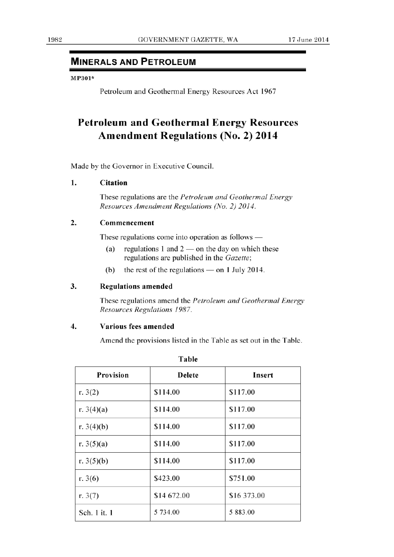# **MINERALS AND PETROLEUM**

#### M P301\*

Petroleum and Geothermal Energy Resources Act 1967

# **Petroleum and Geothermal Energy Resources Amendment Regulations (No. 2) 2014**

Made by the Governor in Executive Council.

### **1. Citation**

These regulations are the *Petroleum and Geothermal Energy Resources Amendment Regulations (No. 2)2014.* 

## 2. **Commencement**

These regulations come into operation as follows  $-$ 

- (a) regulations 1 and  $2$  on the day on which these regulations are published in the *Gazette;*
- (b) the rest of the regulations  $-$  on 1 July 2014.

## **3. Regulations amended**

These regulations amend the *Petroleum and Geothermal Energy Resources Regulations 1987.* 

#### **4. Various fees amended**

Amend the provisions listed in the Table as set out in the Table.

| Provision    | <b>Delete</b> | Insert      |
|--------------|---------------|-------------|
| r. $3(2)$    | \$114.00      | \$117.00    |
| r. $3(4)(a)$ | \$114.00      | \$117.00    |
| r. $3(4)(b)$ | \$114.00      | \$117.00    |
| r. $3(5)(a)$ | \$114.00      | \$117.00    |
| r. $3(5)(b)$ | \$114.00      | \$117.00    |
| r. $3(6)$    | \$423.00      | \$751.00    |
| r. $3(7)$    | \$14 672.00   | \$16 373.00 |
| Sch. 1 it. 1 | 5 734.00      | 5 883.00    |

**Table**